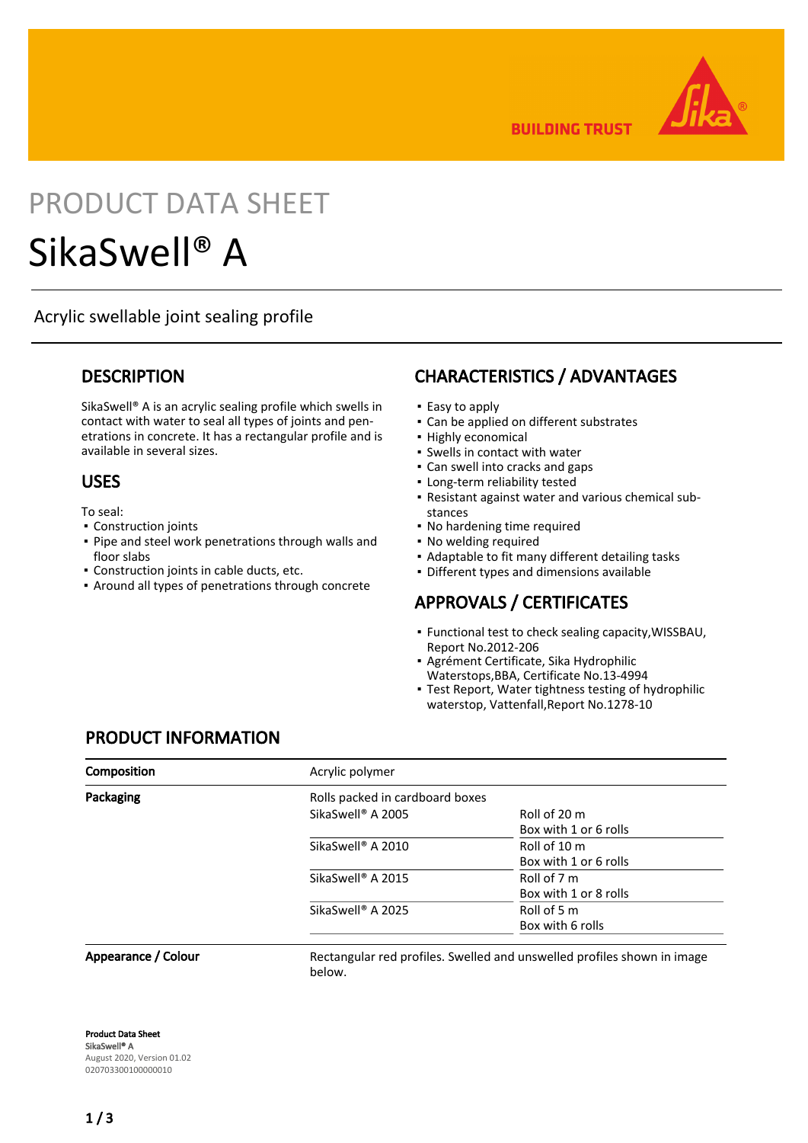

**BUILDING TRUST** 

# PRODUCT DATA SHEET SikaSwell® A

Acrylic swellable joint sealing profile

### **DESCRIPTION**

SikaSwell® A is an acrylic sealing profile which swells in contact with water to seal all types of joints and penetrations in concrete. It has a rectangular profile and is available in several sizes.

### USES

To seal:

- Construction joints
- Pipe and steel work penetrations through walls and floor slabs
- Construction joints in cable ducts, etc.
- **Around all types of penetrations through concrete**

### CHARACTERISTICS / ADVANTAGES

- Easy to apply
- Can be applied on different substrates
- Highly economical
- Swells in contact with water
- Can swell into cracks and gaps
- Long-term reliability tested
- Resistant against water and various chemical sub-▪ stances
- No hardening time required
- No welding required
- Adaptable to fit many different detailing tasks
- Different types and dimensions available

### APPROVALS / CERTIFICATES

- Functional test to check sealing capacity, WISSBAU, Report No.2012-206
- Agrément Certificate, Sika Hydrophilic Waterstops,BBA, Certificate No.13-4994
- Test Report, Water tightness testing of hydrophilic waterstop, Vattenfall,Report No.1278-10

### PRODUCT INFORMATION

| <b>Composition</b>  | Acrylic polymer                                                           |                       |  |  |
|---------------------|---------------------------------------------------------------------------|-----------------------|--|--|
| Packaging           | Rolls packed in cardboard boxes                                           |                       |  |  |
|                     | SikaSwell <sup>®</sup> A 2005                                             | Roll of 20 m          |  |  |
|                     |                                                                           | Box with 1 or 6 rolls |  |  |
|                     | SikaSwell <sup>®</sup> A 2010                                             | Roll of 10 m          |  |  |
|                     |                                                                           | Box with 1 or 6 rolls |  |  |
|                     | SikaSwell <sup>®</sup> A 2015                                             | Roll of 7 m           |  |  |
|                     |                                                                           | Box with 1 or 8 rolls |  |  |
|                     | SikaSwell <sup>®</sup> A 2025                                             | Roll of 5 m           |  |  |
|                     |                                                                           | Box with 6 rolls      |  |  |
| Annearance / Colour | Boctongular red profiles. Suralled and unsuralled profiles shown in image |                       |  |  |

Appearance / Colour

Rectangular red profiles. Swelled and unswelled profiles shown in image below.

Product Data Sheet SikaSwell® A August 2020, Version 01.02 020703300100000010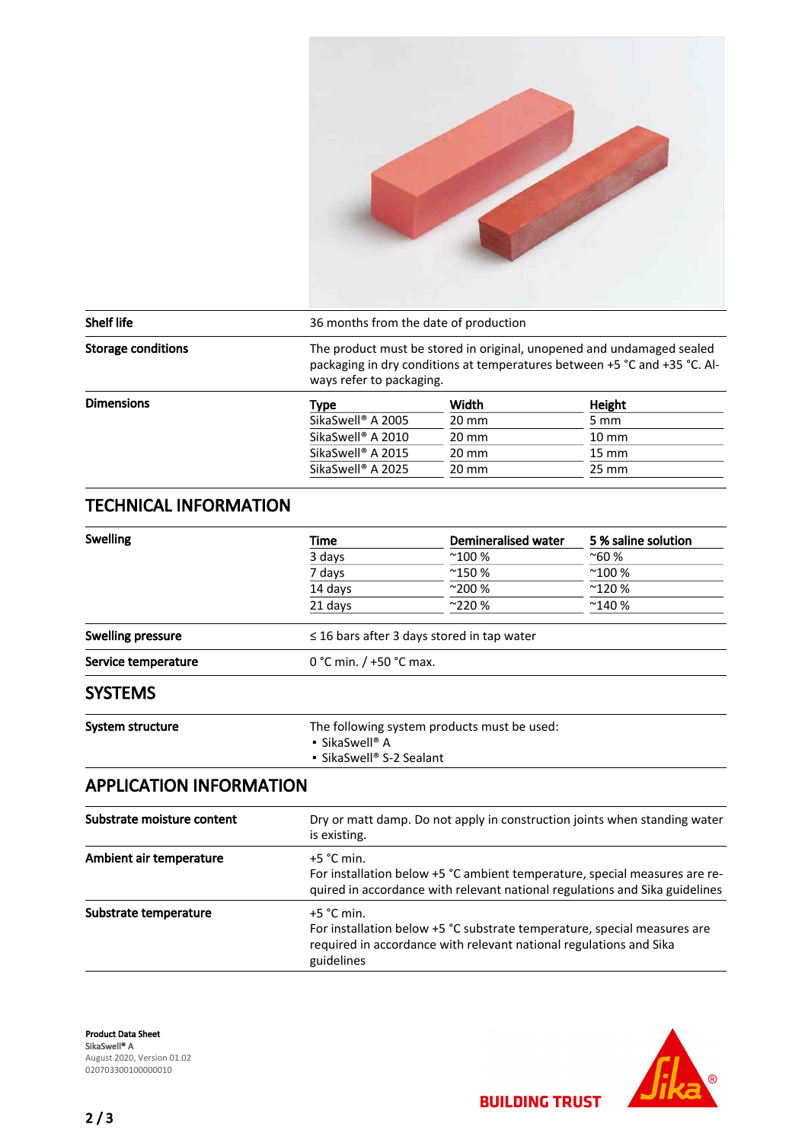

| <b>Shelf life</b>         | 36 months from the date of production |                                                                                                                                                                                |                 |  |
|---------------------------|---------------------------------------|--------------------------------------------------------------------------------------------------------------------------------------------------------------------------------|-----------------|--|
| <b>Storage conditions</b> |                                       | The product must be stored in original, unopened and undamaged sealed<br>packaging in dry conditions at temperatures between +5 °C and +35 °C. Al-<br>ways refer to packaging. |                 |  |
| <b>Dimensions</b>         | Type                                  | Width                                                                                                                                                                          | Height          |  |
|                           | SikaSwell <sup>®</sup> A 2005         | $20 \text{ mm}$                                                                                                                                                                | 5 mm            |  |
|                           | SikaSwell <sup>®</sup> A 2010         | $20 \text{ mm}$                                                                                                                                                                | $10 \text{ mm}$ |  |
|                           | SikaSwell <sup>®</sup> A 2015         | $20 \text{ mm}$                                                                                                                                                                | $15 \text{ mm}$ |  |
|                           | SikaSwell <sup>®</sup> A 2025         | $20 \text{ mm}$                                                                                                                                                                | $25 \text{ mm}$ |  |

### TECHNICAL INFORMATION

| <b>Swelling</b>     | Time                                                                                            | Demineralised water | 5 % saline solution |  |
|---------------------|-------------------------------------------------------------------------------------------------|---------------------|---------------------|--|
|                     | 3 days                                                                                          | $^{\sim}100\%$      | $^{\sim}60%$        |  |
|                     | 7 days                                                                                          | $^{\sim}$ 150 %     | $^{\sim}100\%$      |  |
|                     | 14 days                                                                                         | $^{\sim}200%$       | $^{\sim}$ 120 %     |  |
|                     | 21 days                                                                                         | $^{\sim}$ 220 %     | $^{\sim}$ 140 %     |  |
| Swelling pressure   | $\leq$ 16 bars after 3 days stored in tap water                                                 |                     |                     |  |
| Service temperature | 0 °C min. $/$ +50 °C max.                                                                       |                     |                     |  |
| <b>SYSTEMS</b>      |                                                                                                 |                     |                     |  |
| System structure    | The following system products must be used:<br><b>SikaSwell</b> ® A<br>• SikaSwell® S-2 Sealant |                     |                     |  |

### APPLICATION INFORMATION

| Substrate moisture content | Dry or matt damp. Do not apply in construction joints when standing water<br>is existing.                                                                                    |  |
|----------------------------|------------------------------------------------------------------------------------------------------------------------------------------------------------------------------|--|
| Ambient air temperature    | $+5$ °C min.<br>For installation below +5 °C ambient temperature, special measures are re-<br>quired in accordance with relevant national regulations and Sika guidelines    |  |
| Substrate temperature      | $+5$ °C min.<br>For installation below +5 °C substrate temperature, special measures are<br>required in accordance with relevant national regulations and Sika<br>guidelines |  |



**BUILDING TRUST**